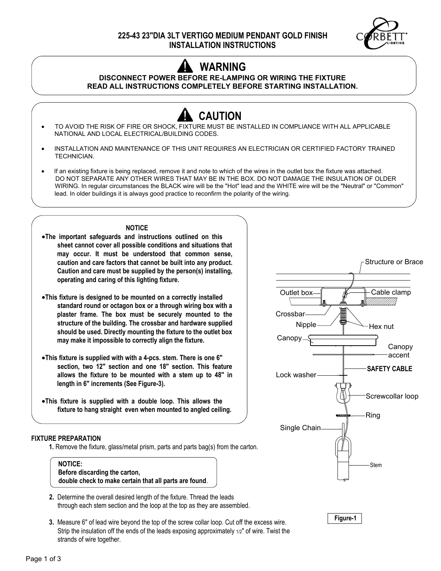

# **WARNING**

# **DISCONNECT POWER BEFORE RE-LAMPING OR WIRING THE FIXTURE READ ALL INSTRUCTIONS COMPLETELY BEFORE STARTING INSTALLATION.**

- **CAUTION** · TO AVOID THE RISK OF FIRE OR SHOCK, FIXTURE MUST BE INSTALLED IN COMPLIANCE WITH ALL APPLICABLE NATIONAL AND LOCAL ELECTRICAL/BUILDING CODES.
- · INSTALLATION AND MAINTENANCE OF THIS UNIT REQUIRES AN ELECTRICIAN OR CERTIFIED FACTORY TRAINED TECHNICIAN.
- **·** If an existing fixture is being replaced, remove it and note to which of the wires in the outlet box the fixture was attached. DO NOT SEPARATE ANY OTHER WIRES THAT MAY BE IN THE BOX. DO NOT DAMAGE THE INSULATION OF OLDER WIRING. In regular circumstances the BLACK wire will be the "Hot" lead and the WHITE wire will be the "Neutral" or "Common" lead. In older buildings it is always good practice to reconfirm the polarity of the wiring.

## **NOTICE**

- ·**The important safeguards and instructions outlined on this sheet cannot cover all possible conditions and situations that may occur. It must be understood that common sense, caution and care factors that cannot be built into any product. Caution and care must be supplied by the person(s) installing, operating and caring of this lighting fixture.**
- ·**This fixture is designed to be mounted on a correctly installed standard round or octagon box or a through wiring box with a plaster frame. The box must be securely mounted to the structure of the building. The crossbar and hardware supplied should be used. Directly mounting the fixture to the outlet box may make it impossible to correctly align the fixture.**
- ·**This fixture is supplied with with a 4-pcs. stem. There is one 6" section, two 12" section and one 18" section. This feature allows the fixture to be mounted with a stem up to 48" in length in 6" increments (See Figure-3).**
- ·**This fixture is supplied with a double loop. This allows the fixture to hang straight even when mounted to angled ceiling.**

#### **FIXTURE PREPARATION**

**1.** Remove the fixture, glass/metal prism, parts and parts bag(s) from the carton.



- **2.** Determine the overall desired length of the fixture. Thread the leads through each stem section and the loop at the top as they are assembled.
- **3.** Measure 6" of lead wire beyond the top of the screw collar loop. Cut off the excess wire. Strip the insulation off the ends of the leads exposing approximately 1/2" of wire. Twist the strands of wire together.



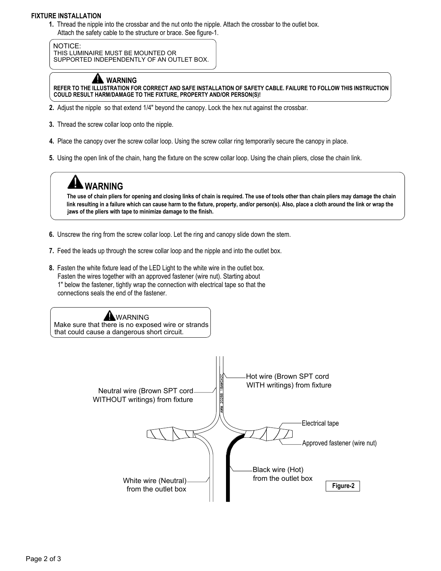## **FIXTURE INSTALLATION**

**1.** Thread the nipple into the crossbar and the nut onto the nipple. Attach the crossbar to the outlet box. Attach the safety cable to the structure or brace. See figure-1.

NOTICE: THIS LUMINAIRE MUST BE MOUNTED OR SUPPORTED INDEPENDENTLY OF AN OUTLET BOX.



**REFER TO THE ILLUSTRATION FOR CORRECT AND SAFE INSTALLATION OF SAFETY CABLE. FAILURE TO FOLLOW THIS INSTRUCTION COULD RESULT HARM/DAMAGE TO THE FIXTURE, PROPERTY AND/OR PERSON(S)!**

- **2.** Adjust the nipple so that extend 1/4" beyond the canopy. Lock the hex nut against the crossbar.
- **3.** Thread the screw collar loop onto the nipple.
- **4.** Place the canopy over the screw collar loop. Using the screw collar ring temporarily secure the canopy in place.
- **5.** Using the open link of the chain, hang the fixture on the screw collar loop. Using the chain pliers, close the chain link.



**The use of chain pliers for opening and closing links of chain is required. The use of tools other than chain pliers may damage the chain link resulting in a failure which can cause harm to the fixture, property, and/or person(s). Also, place a cloth around the link or wrap the jaws of the pliers with tape to minimize damage to the finish.**

- **6.** Unscrew the ring from the screw collar loop. Let the ring and canopy slide down the stem.
- **7.** Feed the leads up through the screw collar loop and the nipple and into the outlet box.
- **8.** Fasten the white fixture lead of the LED Light to the white wire in the outlet box. Fasten the wires together with an approved fastener (wire nut). Starting about 1" below the fastener, tightly wrap the connection with electrical tape so that the connections seals the end of the fastener.